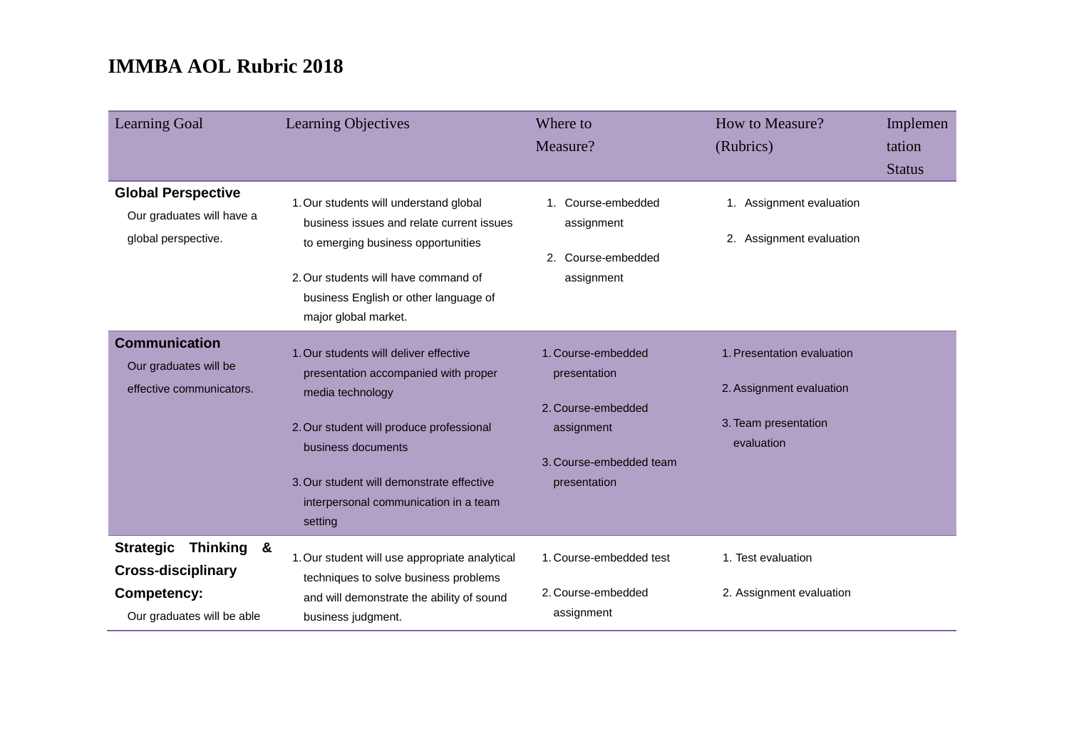| <b>Learning Goal</b>                                                                                     | Learning Objectives                                                                                                                                                                                                                                                   | Where to<br>Measure?                                                                                              | How to Measure?<br>(Rubrics)                                                                 | Implemen<br>tation<br><b>Status</b> |
|----------------------------------------------------------------------------------------------------------|-----------------------------------------------------------------------------------------------------------------------------------------------------------------------------------------------------------------------------------------------------------------------|-------------------------------------------------------------------------------------------------------------------|----------------------------------------------------------------------------------------------|-------------------------------------|
| <b>Global Perspective</b><br>Our graduates will have a<br>global perspective.                            | 1. Our students will understand global<br>business issues and relate current issues<br>to emerging business opportunities<br>2. Our students will have command of<br>business English or other language of<br>major global market.                                    | 1. Course-embedded<br>assignment<br>2. Course-embedded<br>assignment                                              | 1. Assignment evaluation<br>2. Assignment evaluation                                         |                                     |
| <b>Communication</b><br>Our graduates will be<br>effective communicators.                                | 1. Our students will deliver effective<br>presentation accompanied with proper<br>media technology<br>2. Our student will produce professional<br>business documents<br>3. Our student will demonstrate effective<br>interpersonal communication in a team<br>setting | 1. Course-embedded<br>presentation<br>2. Course-embedded<br>assignment<br>3. Course-embedded team<br>presentation | 1. Presentation evaluation<br>2. Assignment evaluation<br>3. Team presentation<br>evaluation |                                     |
| Thinking &<br><b>Strategic</b><br><b>Cross-disciplinary</b><br>Competency:<br>Our graduates will be able | 1. Our student will use appropriate analytical<br>techniques to solve business problems<br>and will demonstrate the ability of sound<br>business judgment.                                                                                                            | 1. Course-embedded test<br>2. Course-embedded<br>assignment                                                       | 1. Test evaluation<br>2. Assignment evaluation                                               |                                     |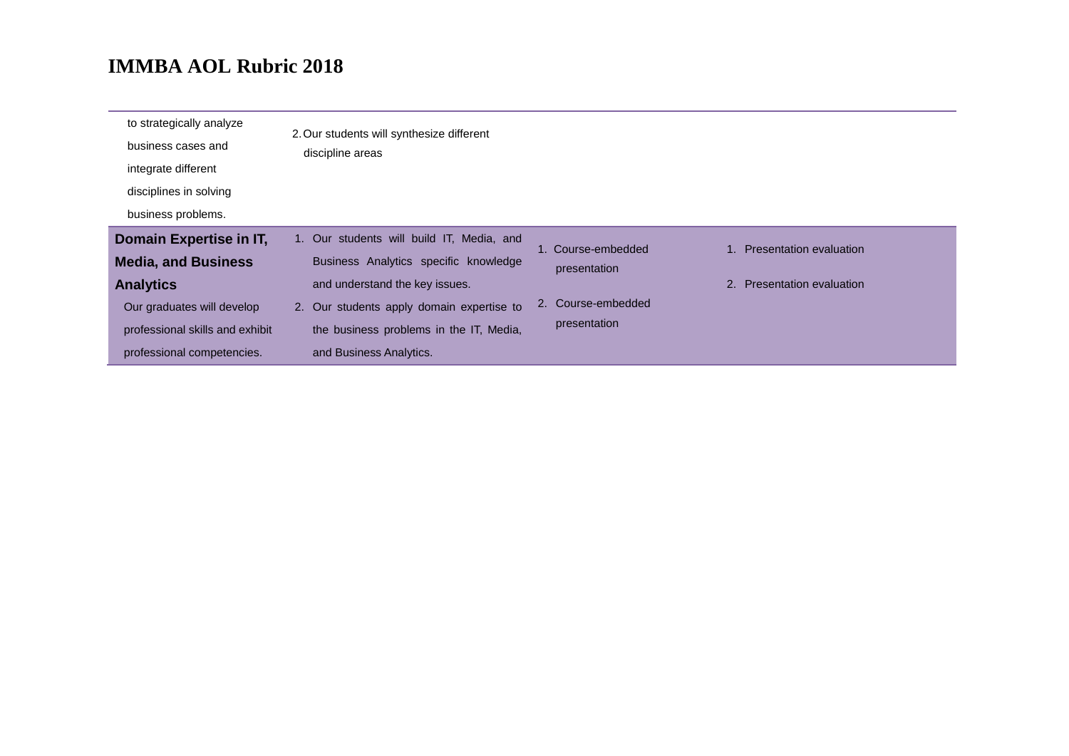| to strategically analyze<br>business cases and<br>integrate different<br>disciplines in solving<br>business problems.                                                    | 2. Our students will synthesize different<br>discipline areas                                                                                                                                                                           |                                                                          |                                                       |
|--------------------------------------------------------------------------------------------------------------------------------------------------------------------------|-----------------------------------------------------------------------------------------------------------------------------------------------------------------------------------------------------------------------------------------|--------------------------------------------------------------------------|-------------------------------------------------------|
| Domain Expertise in IT,<br><b>Media, and Business</b><br><b>Analytics</b><br>Our graduates will develop<br>professional skills and exhibit<br>professional competencies. | 1. Our students will build IT, Media, and<br>Business Analytics specific knowledge<br>and understand the key issues.<br>2. Our students apply domain expertise to<br>the business problems in the IT, Media,<br>and Business Analytics. | 1. Course-embedded<br>presentation<br>2. Course-embedded<br>presentation | Presentation evaluation<br>2. Presentation evaluation |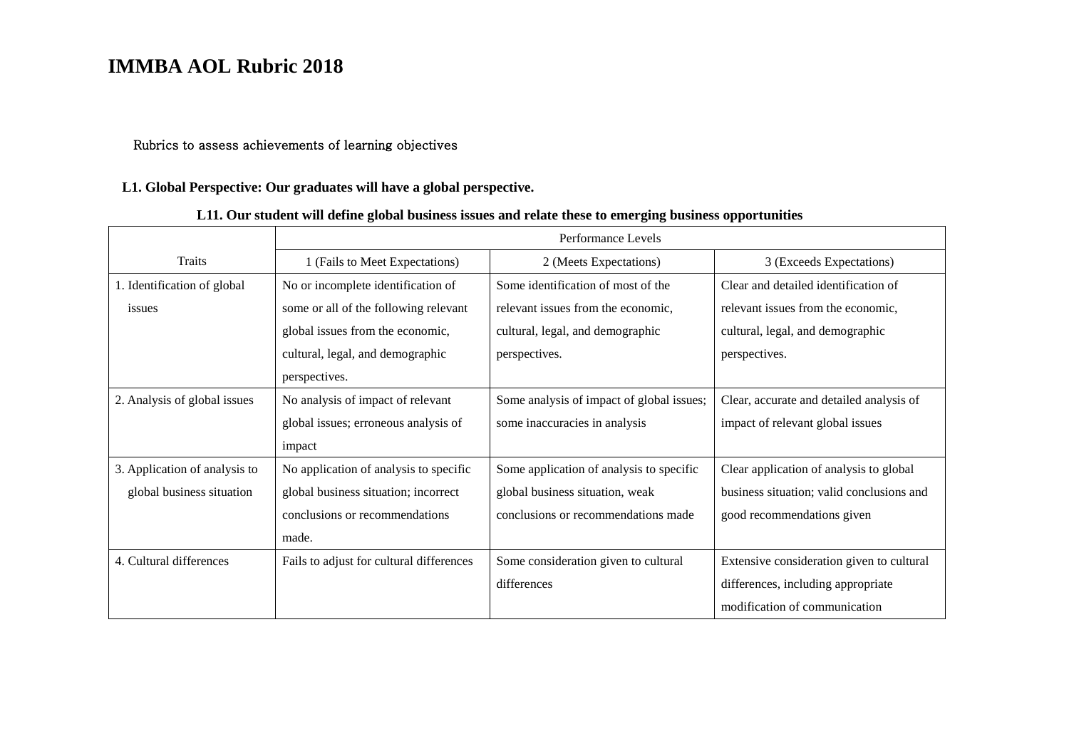#### Rubrics to assess achievements of learning objectives

#### **L1. Global Perspective: Our graduates will have a global perspective.**

#### **L11. Our student will define global business issues and relate these to emerging business opportunities**

|                               | Performance Levels                       |                                           |                                           |  |
|-------------------------------|------------------------------------------|-------------------------------------------|-------------------------------------------|--|
| <b>Traits</b>                 | 1 (Fails to Meet Expectations)           | 2 (Meets Expectations)                    | 3 (Exceeds Expectations)                  |  |
| 1. Identification of global   | No or incomplete identification of       | Some identification of most of the        | Clear and detailed identification of      |  |
| issues                        | some or all of the following relevant    | relevant issues from the economic,        | relevant issues from the economic,        |  |
|                               | global issues from the economic,         | cultural, legal, and demographic          | cultural, legal, and demographic          |  |
|                               | cultural, legal, and demographic         | perspectives.                             | perspectives.                             |  |
|                               | perspectives.                            |                                           |                                           |  |
| 2. Analysis of global issues  | No analysis of impact of relevant        | Some analysis of impact of global issues; | Clear, accurate and detailed analysis of  |  |
|                               | global issues; erroneous analysis of     | some inaccuracies in analysis             | impact of relevant global issues          |  |
|                               | impact                                   |                                           |                                           |  |
| 3. Application of analysis to | No application of analysis to specific   | Some application of analysis to specific  | Clear application of analysis to global   |  |
| global business situation     | global business situation; incorrect     | global business situation, weak           | business situation; valid conclusions and |  |
|                               | conclusions or recommendations           | conclusions or recommendations made       | good recommendations given                |  |
|                               | made.                                    |                                           |                                           |  |
| 4. Cultural differences       | Fails to adjust for cultural differences | Some consideration given to cultural      | Extensive consideration given to cultural |  |
|                               |                                          | differences                               | differences, including appropriate        |  |
|                               |                                          |                                           | modification of communication             |  |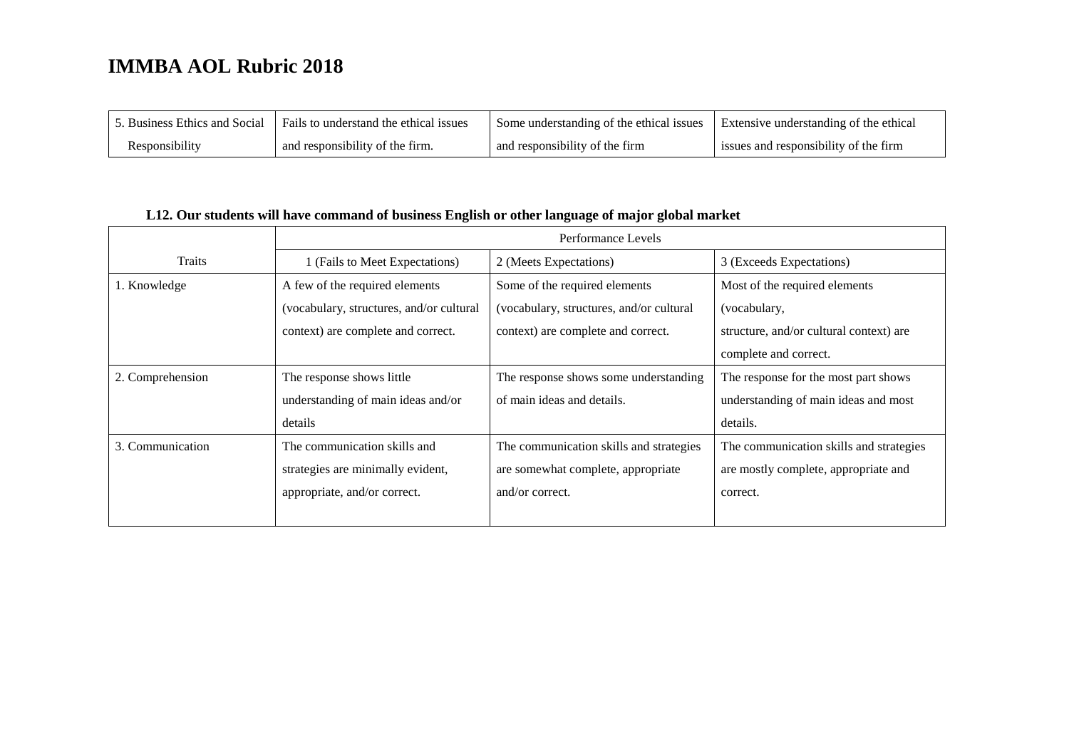| 5. Business Ethics and Social | Fails to understand the ethical issues | Some understanding of the ethical issues | Extensive understanding of the ethical |
|-------------------------------|----------------------------------------|------------------------------------------|----------------------------------------|
| Responsibility                | and responsibility of the firm.        | and responsibility of the firm           | issues and responsibility of the firm  |

#### **L12. Our students will have command of business English or other language of major global market**

|                  | Performance Levels                       |                                          |                                         |  |
|------------------|------------------------------------------|------------------------------------------|-----------------------------------------|--|
| <b>Traits</b>    | 1 (Fails to Meet Expectations)           | 2 (Meets Expectations)                   | 3 (Exceeds Expectations)                |  |
| 1. Knowledge     | A few of the required elements           | Some of the required elements            | Most of the required elements           |  |
|                  | (vocabulary, structures, and/or cultural | (vocabulary, structures, and/or cultural | (vocabulary,                            |  |
|                  | context) are complete and correct.       | context) are complete and correct.       | structure, and/or cultural context) are |  |
|                  |                                          |                                          | complete and correct.                   |  |
| 2. Comprehension | The response shows little                | The response shows some understanding    | The response for the most part shows    |  |
|                  | understanding of main ideas and/or       | of main ideas and details.               | understanding of main ideas and most    |  |
|                  | details                                  |                                          | details.                                |  |
| 3. Communication | The communication skills and             | The communication skills and strategies  | The communication skills and strategies |  |
|                  | strategies are minimally evident,        | are somewhat complete, appropriate       | are mostly complete, appropriate and    |  |
|                  | appropriate, and/or correct.             | and/or correct.                          | correct.                                |  |
|                  |                                          |                                          |                                         |  |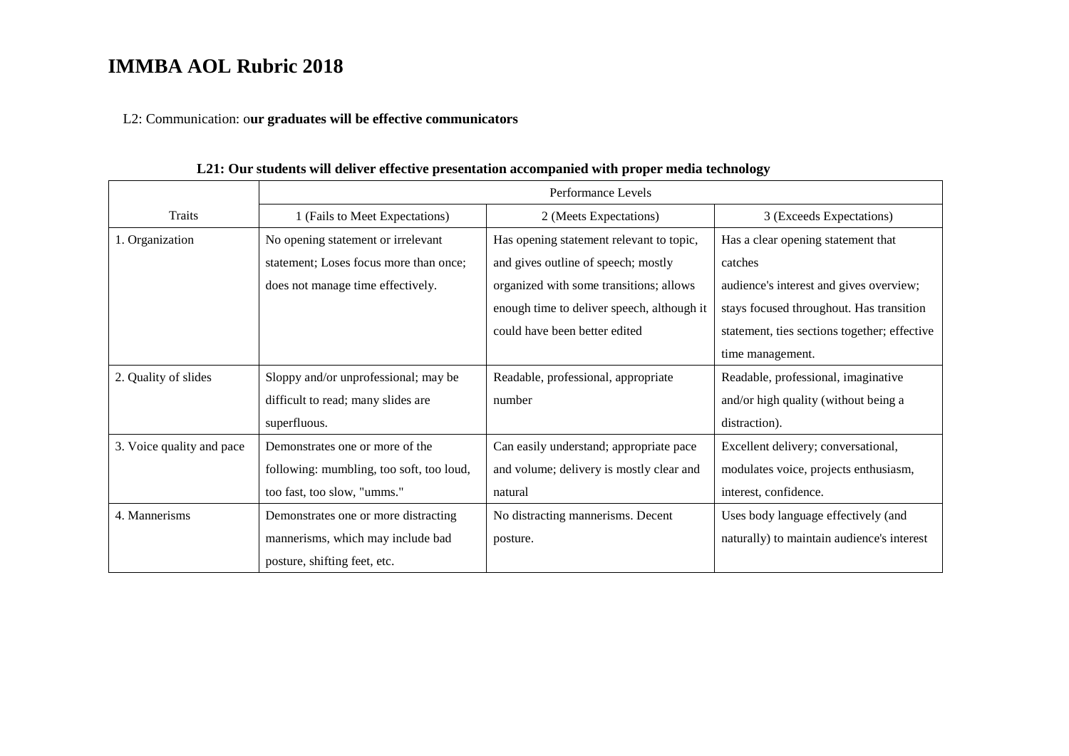L2: Communication: o**ur graduates will be effective communicators**

|                           | Performance Levels                       |                                            |                                              |  |
|---------------------------|------------------------------------------|--------------------------------------------|----------------------------------------------|--|
| <b>Traits</b>             | 1 (Fails to Meet Expectations)           | 2 (Meets Expectations)                     | 3 (Exceeds Expectations)                     |  |
| 1. Organization           | No opening statement or irrelevant       | Has opening statement relevant to topic,   | Has a clear opening statement that           |  |
|                           | statement; Loses focus more than once;   | and gives outline of speech; mostly        | catches                                      |  |
|                           | does not manage time effectively.        | organized with some transitions; allows    | audience's interest and gives overview;      |  |
|                           |                                          | enough time to deliver speech, although it | stays focused throughout. Has transition     |  |
|                           |                                          | could have been better edited              | statement, ties sections together; effective |  |
|                           |                                          |                                            | time management.                             |  |
| 2. Quality of slides      | Sloppy and/or unprofessional; may be     | Readable, professional, appropriate        | Readable, professional, imaginative          |  |
|                           | difficult to read; many slides are       | number                                     | and/or high quality (without being a         |  |
|                           | superfluous.                             |                                            | distraction).                                |  |
| 3. Voice quality and pace | Demonstrates one or more of the          | Can easily understand; appropriate pace    | Excellent delivery; conversational,          |  |
|                           | following: mumbling, too soft, too loud, | and volume; delivery is mostly clear and   | modulates voice, projects enthusiasm,        |  |
|                           | too fast, too slow, "umms."              | natural                                    | interest, confidence.                        |  |
| 4. Mannerisms             | Demonstrates one or more distracting     | No distracting mannerisms. Decent          | Uses body language effectively (and          |  |
|                           | mannerisms, which may include bad        | posture.                                   | naturally) to maintain audience's interest   |  |
|                           | posture, shifting feet, etc.             |                                            |                                              |  |

**L21: Our students will deliver effective presentation accompanied with proper media technology**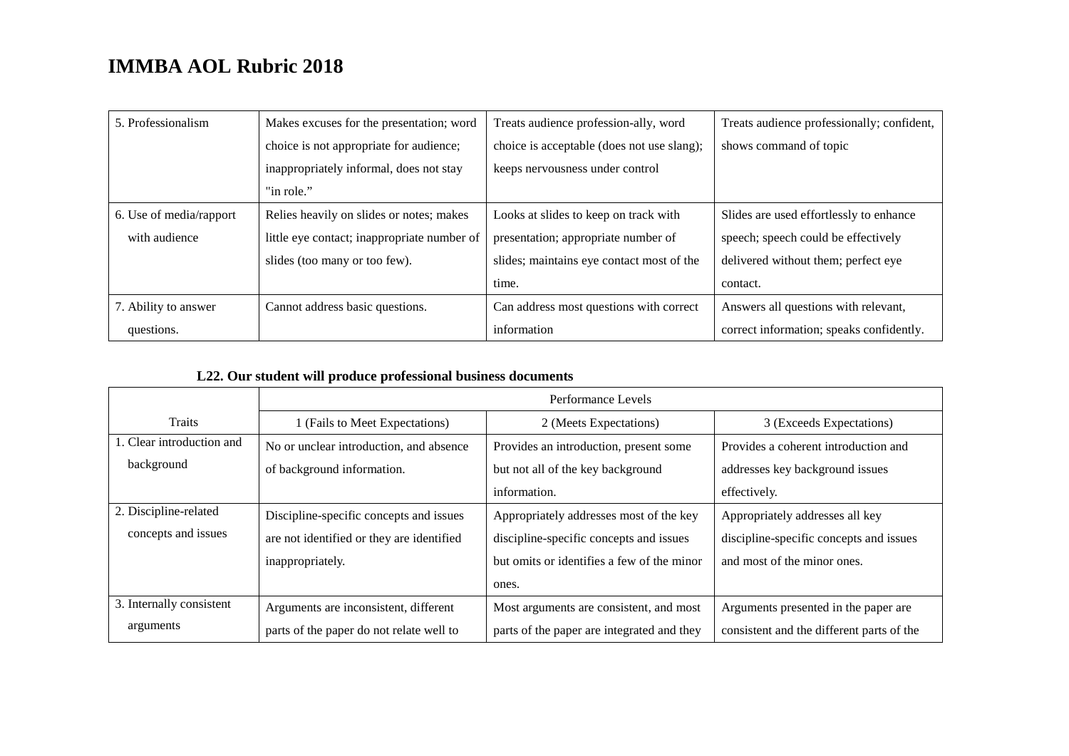| 5. Professionalism      | Makes excuses for the presentation; word    | Treats audience profession-ally, word      | Treats audience professionally; confident, |
|-------------------------|---------------------------------------------|--------------------------------------------|--------------------------------------------|
|                         | choice is not appropriate for audience;     | choice is acceptable (does not use slang); | shows command of topic                     |
|                         | inappropriately informal, does not stay     | keeps nervousness under control            |                                            |
|                         | "in role."                                  |                                            |                                            |
| 6. Use of media/rapport | Relies heavily on slides or notes; makes    | Looks at slides to keep on track with      | Slides are used effortlessly to enhance    |
| with audience           | little eye contact; inappropriate number of | presentation; appropriate number of        | speech; speech could be effectively        |
|                         | slides (too many or too few).               | slides; maintains eye contact most of the  | delivered without them; perfect eye        |
|                         |                                             | time.                                      | contact.                                   |
| 7. Ability to answer    | Cannot address basic questions.             | Can address most questions with correct    | Answers all questions with relevant,       |
| questions.              |                                             | information                                | correct information; speaks confidently.   |

#### **L22. Our student will produce professional business documents**

|                           | Performance Levels                        |                                            |                                           |
|---------------------------|-------------------------------------------|--------------------------------------------|-------------------------------------------|
| <b>Traits</b>             | 1 (Fails to Meet Expectations)            | 2 (Meets Expectations)                     | 3 (Exceeds Expectations)                  |
| 1. Clear introduction and | No or unclear introduction, and absence   | Provides an introduction, present some     | Provides a coherent introduction and      |
| background                | of background information.                | but not all of the key background          | addresses key background issues           |
|                           |                                           | information.                               | effectively.                              |
| 2. Discipline-related     | Discipline-specific concepts and issues   | Appropriately addresses most of the key    | Appropriately addresses all key           |
| concepts and issues       | are not identified or they are identified | discipline-specific concepts and issues    | discipline-specific concepts and issues   |
|                           | inappropriately.                          | but omits or identifies a few of the minor | and most of the minor ones.               |
|                           |                                           | ones.                                      |                                           |
| 3. Internally consistent  | Arguments are inconsistent, different     | Most arguments are consistent, and most    | Arguments presented in the paper are.     |
| arguments                 | parts of the paper do not relate well to  | parts of the paper are integrated and they | consistent and the different parts of the |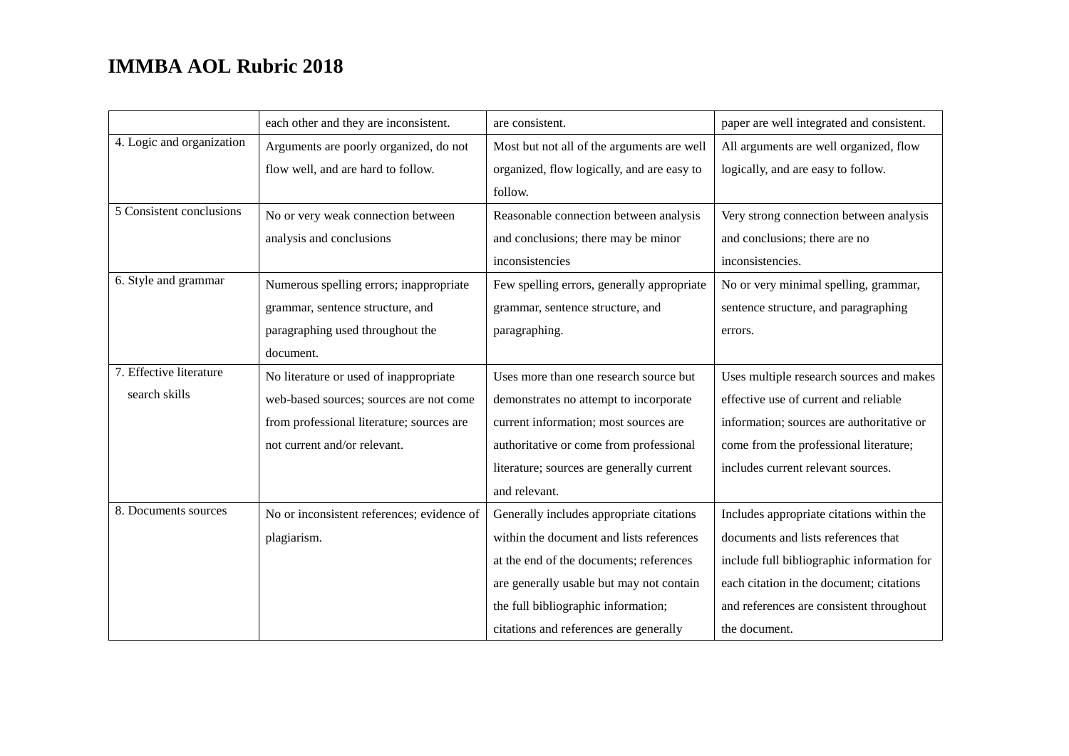|                           | each other and they are inconsistent.      | are consistent.                            | paper are well integrated and consistent.  |
|---------------------------|--------------------------------------------|--------------------------------------------|--------------------------------------------|
| 4. Logic and organization | Arguments are poorly organized, do not     | Most but not all of the arguments are well | All arguments are well organized, flow     |
|                           | flow well, and are hard to follow.         | organized, flow logically, and are easy to | logically, and are easy to follow.         |
|                           |                                            | follow.                                    |                                            |
| 5 Consistent conclusions  | No or very weak connection between         | Reasonable connection between analysis     | Very strong connection between analysis    |
|                           | analysis and conclusions                   | and conclusions; there may be minor        | and conclusions; there are no              |
|                           |                                            | inconsistencies                            | inconsistencies.                           |
| 6. Style and grammar      | Numerous spelling errors; inappropriate    | Few spelling errors, generally appropriate | No or very minimal spelling, grammar,      |
|                           | grammar, sentence structure, and           | grammar, sentence structure, and           | sentence structure, and paragraphing       |
|                           | paragraphing used throughout the           | paragraphing.                              | errors.                                    |
|                           | document.                                  |                                            |                                            |
| 7. Effective literature   | No literature or used of inappropriate     | Uses more than one research source but     | Uses multiple research sources and makes   |
| search skills             | web-based sources; sources are not come    | demonstrates no attempt to incorporate     | effective use of current and reliable      |
|                           | from professional literature; sources are  | current information; most sources are      | information; sources are authoritative or  |
|                           | not current and/or relevant.               | authoritative or come from professional    | come from the professional literature;     |
|                           |                                            | literature; sources are generally current  | includes current relevant sources.         |
|                           |                                            | and relevant.                              |                                            |
| 8. Documents sources      | No or inconsistent references; evidence of | Generally includes appropriate citations   | Includes appropriate citations within the  |
|                           | plagiarism.                                | within the document and lists references   | documents and lists references that        |
|                           |                                            | at the end of the documents; references    | include full bibliographic information for |
|                           |                                            | are generally usable but may not contain   | each citation in the document; citations   |
|                           |                                            | the full bibliographic information;        | and references are consistent throughout   |
|                           |                                            | citations and references are generally     | the document.                              |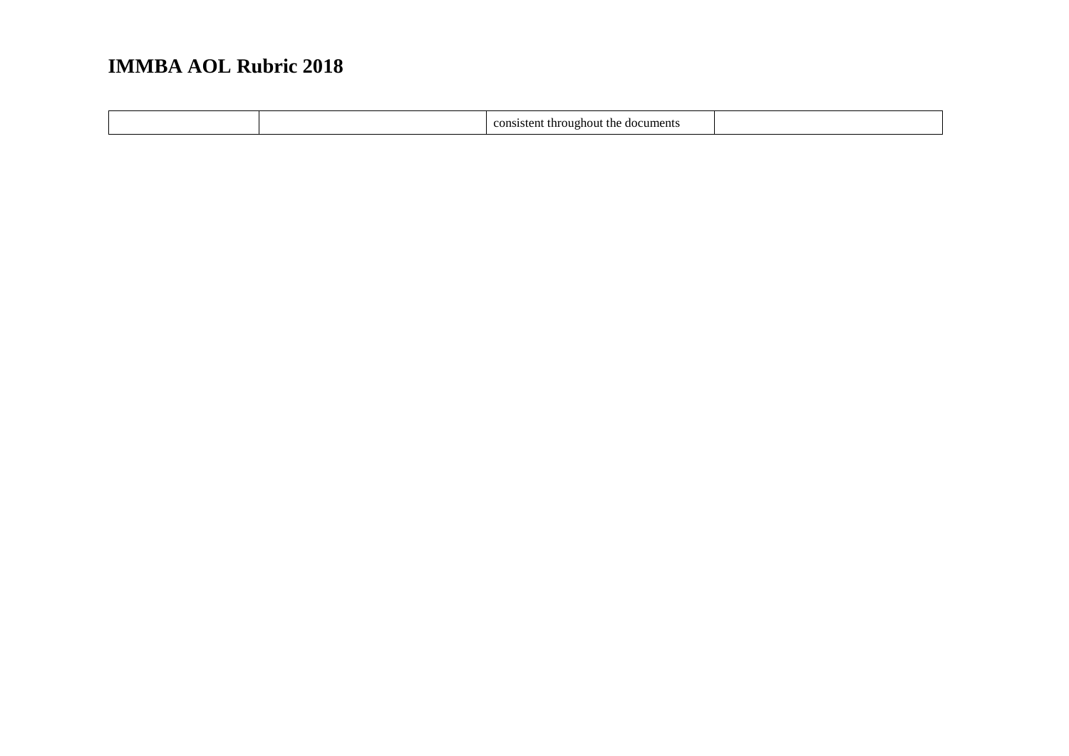|  |  | e documents<br>oughout<br>: the<br>throus<br>consistent<br>. . |  |
|--|--|----------------------------------------------------------------|--|
|--|--|----------------------------------------------------------------|--|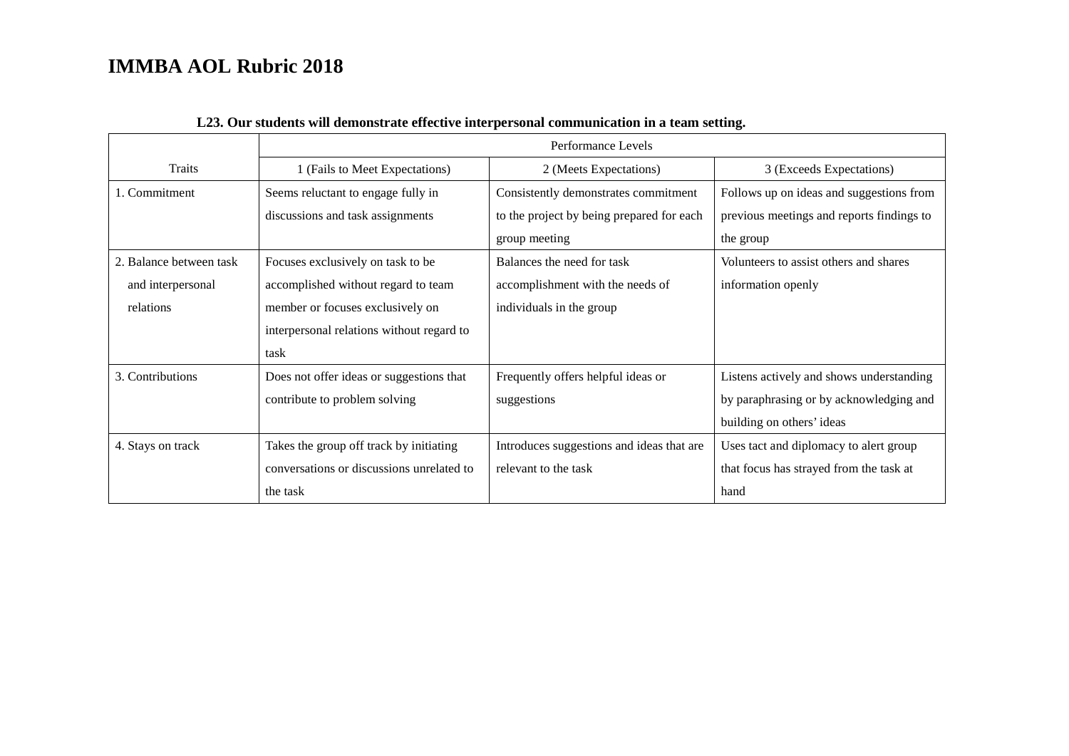|                         | Performance Levels                        |                                           |                                           |
|-------------------------|-------------------------------------------|-------------------------------------------|-------------------------------------------|
| Traits                  | 1 (Fails to Meet Expectations)            | 2 (Meets Expectations)                    | 3 (Exceeds Expectations)                  |
| 1. Commitment           | Seems reluctant to engage fully in        | Consistently demonstrates commitment      | Follows up on ideas and suggestions from  |
|                         | discussions and task assignments          | to the project by being prepared for each | previous meetings and reports findings to |
|                         |                                           | group meeting                             | the group                                 |
| 2. Balance between task | Focuses exclusively on task to be         | Balances the need for task                | Volunteers to assist others and shares    |
| and interpersonal       | accomplished without regard to team       | accomplishment with the needs of          | information openly                        |
| relations               | member or focuses exclusively on          | individuals in the group                  |                                           |
|                         | interpersonal relations without regard to |                                           |                                           |
|                         | task                                      |                                           |                                           |
| 3. Contributions        | Does not offer ideas or suggestions that  | Frequently offers helpful ideas or        | Listens actively and shows understanding  |
|                         | contribute to problem solving             | suggestions                               | by paraphrasing or by acknowledging and   |
|                         |                                           |                                           | building on others' ideas                 |
| 4. Stays on track       | Takes the group off track by initiating   | Introduces suggestions and ideas that are | Uses tact and diplomacy to alert group    |
|                         | conversations or discussions unrelated to | relevant to the task                      | that focus has strayed from the task at   |
|                         | the task                                  |                                           | hand                                      |

#### **L23. Our students will demonstrate effective interpersonal communication in a team setting.**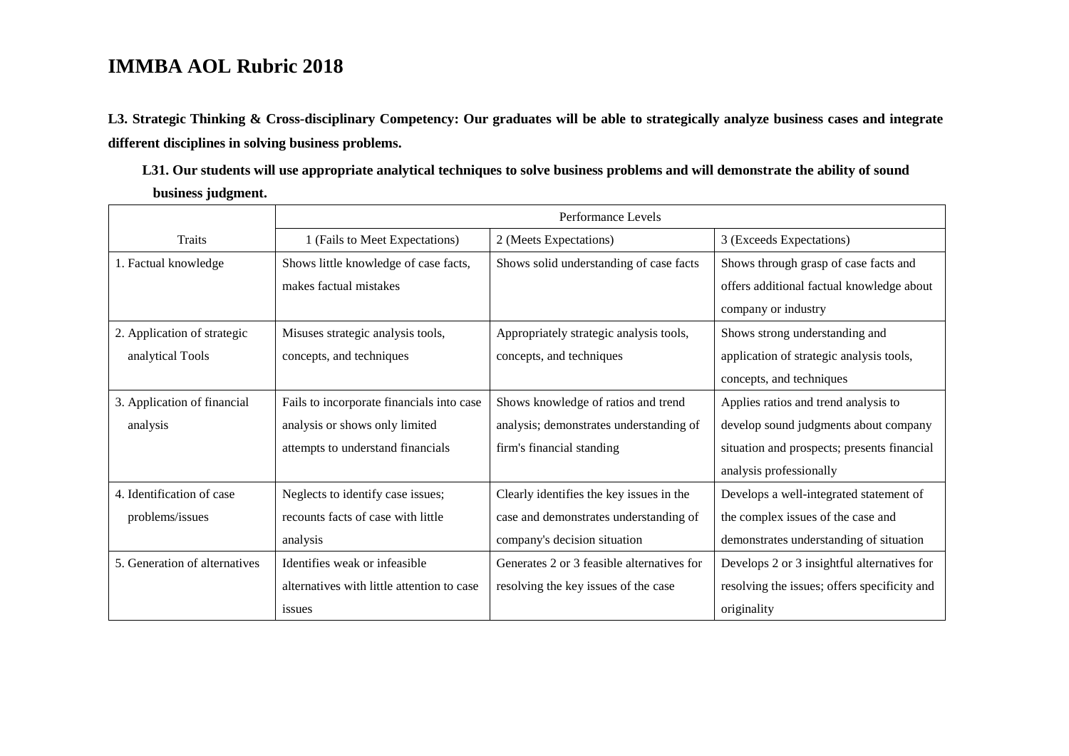**L3. Strategic Thinking & Cross-disciplinary Competency: Our graduates will be able to strategically analyze business cases and integrate different disciplines in solving business problems.** 

**L31. Our students will use appropriate analytical techniques to solve business problems and will demonstrate the ability of sound business judgment.** 

|                               | Performance Levels                         |                                            |                                              |  |
|-------------------------------|--------------------------------------------|--------------------------------------------|----------------------------------------------|--|
| <b>Traits</b>                 | 1 (Fails to Meet Expectations)             | 2 (Meets Expectations)                     | 3 (Exceeds Expectations)                     |  |
| 1. Factual knowledge          | Shows little knowledge of case facts,      | Shows solid understanding of case facts    | Shows through grasp of case facts and        |  |
|                               | makes factual mistakes                     |                                            | offers additional factual knowledge about    |  |
|                               |                                            |                                            | company or industry                          |  |
| 2. Application of strategic   | Misuses strategic analysis tools,          | Appropriately strategic analysis tools,    | Shows strong understanding and               |  |
| analytical Tools              | concepts, and techniques                   | concepts, and techniques                   | application of strategic analysis tools,     |  |
|                               |                                            |                                            | concepts, and techniques                     |  |
| 3. Application of financial   | Fails to incorporate financials into case  | Shows knowledge of ratios and trend        | Applies ratios and trend analysis to         |  |
| analysis                      | analysis or shows only limited             | analysis; demonstrates understanding of    | develop sound judgments about company        |  |
|                               | attempts to understand financials          | firm's financial standing                  | situation and prospects; presents financial  |  |
|                               |                                            |                                            | analysis professionally                      |  |
| 4. Identification of case     | Neglects to identify case issues;          | Clearly identifies the key issues in the   | Develops a well-integrated statement of      |  |
| problems/issues               | recounts facts of case with little         | case and demonstrates understanding of     | the complex issues of the case and           |  |
|                               | analysis                                   | company's decision situation               | demonstrates understanding of situation      |  |
| 5. Generation of alternatives | Identifies weak or infeasible              | Generates 2 or 3 feasible alternatives for | Develops 2 or 3 insightful alternatives for  |  |
|                               | alternatives with little attention to case | resolving the key issues of the case       | resolving the issues; offers specificity and |  |
|                               | <i>issues</i>                              |                                            | originality                                  |  |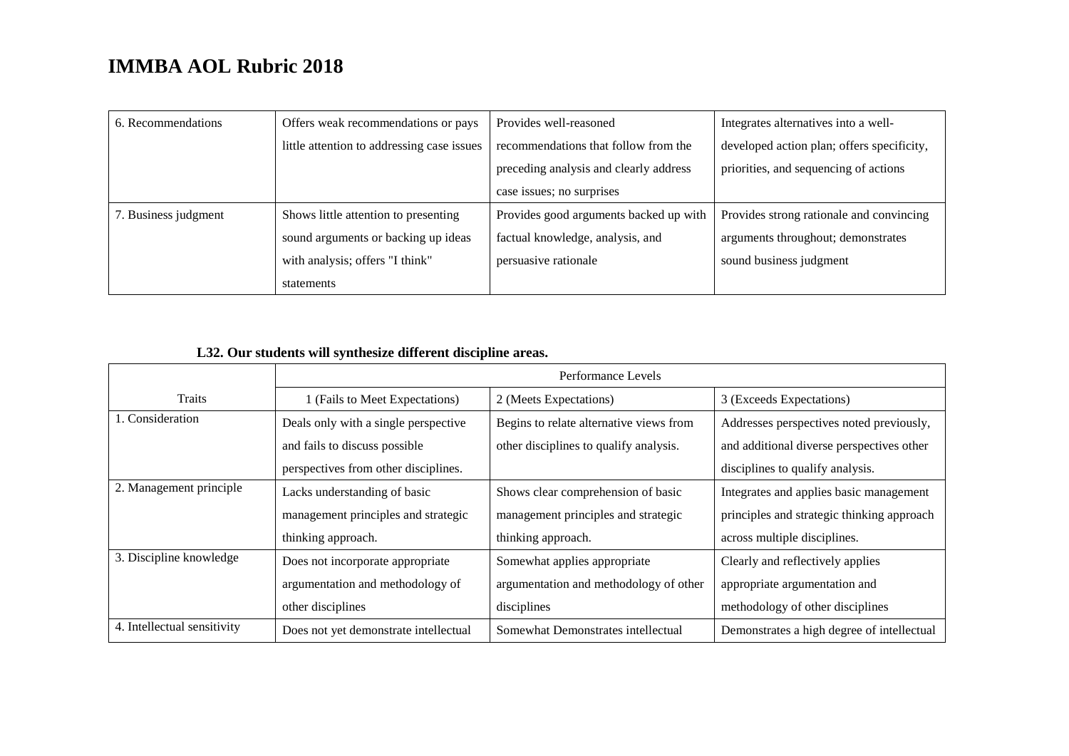| 6. Recommendations   | Offers weak recommendations or pays        | Provides well-reasoned                 | Integrates alternatives into a well-       |
|----------------------|--------------------------------------------|----------------------------------------|--------------------------------------------|
|                      | little attention to addressing case issues | recommendations that follow from the   | developed action plan; offers specificity, |
|                      |                                            | preceding analysis and clearly address | priorities, and sequencing of actions      |
|                      |                                            | case issues; no surprises              |                                            |
| 7. Business judgment | Shows little attention to presenting       | Provides good arguments backed up with | Provides strong rationale and convincing   |
|                      | sound arguments or backing up ideas        | factual knowledge, analysis, and       | arguments throughout; demonstrates         |
|                      | with analysis; offers "I think"            | persuasive rationale                   | sound business judgment                    |
|                      | statements                                 |                                        |                                            |

#### **L32. Our students will synthesize different discipline areas.**

|                             | Performance Levels                    |                                         |                                            |
|-----------------------------|---------------------------------------|-----------------------------------------|--------------------------------------------|
| <b>Traits</b>               | 1 (Fails to Meet Expectations)        | 2 (Meets Expectations)                  | 3 (Exceeds Expectations)                   |
| 1. Consideration            | Deals only with a single perspective  | Begins to relate alternative views from | Addresses perspectives noted previously,   |
|                             | and fails to discuss possible         | other disciplines to qualify analysis.  | and additional diverse perspectives other  |
|                             | perspectives from other disciplines.  |                                         | disciplines to qualify analysis.           |
| 2. Management principle     | Lacks understanding of basic          | Shows clear comprehension of basic      | Integrates and applies basic management    |
|                             | management principles and strategic   | management principles and strategic     | principles and strategic thinking approach |
|                             | thinking approach.                    | thinking approach.                      | across multiple disciplines.               |
| 3. Discipline knowledge     | Does not incorporate appropriate      | Somewhat applies appropriate            | Clearly and reflectively applies           |
|                             | argumentation and methodology of      | argumentation and methodology of other  | appropriate argumentation and              |
|                             | other disciplines                     | disciplines                             | methodology of other disciplines           |
| 4. Intellectual sensitivity | Does not yet demonstrate intellectual | Somewhat Demonstrates intellectual      | Demonstrates a high degree of intellectual |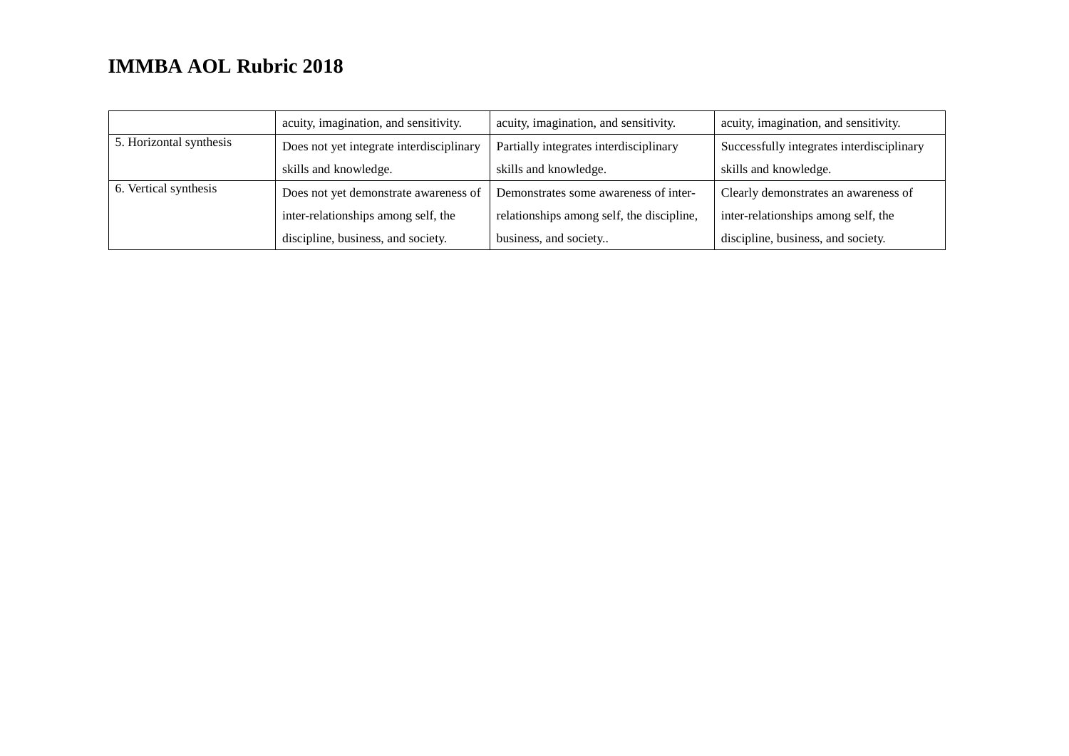|                         | acuity, imagination, and sensitivity.    | acuity, imagination, and sensitivity.     | acuity, imagination, and sensitivity.     |
|-------------------------|------------------------------------------|-------------------------------------------|-------------------------------------------|
| 5. Horizontal synthesis | Does not yet integrate interdisciplinary | Partially integrates interdisciplinary    | Successfully integrates interdisciplinary |
|                         | skills and knowledge.                    | skills and knowledge.                     | skills and knowledge.                     |
| 6. Vertical synthesis   | Does not yet demonstrate awareness of    | Demonstrates some awareness of inter-     | Clearly demonstrates an awareness of      |
|                         | inter-relationships among self, the      | relationships among self, the discipline, | inter-relationships among self, the       |
|                         | discipline, business, and society.       | business, and society                     | discipline, business, and society.        |